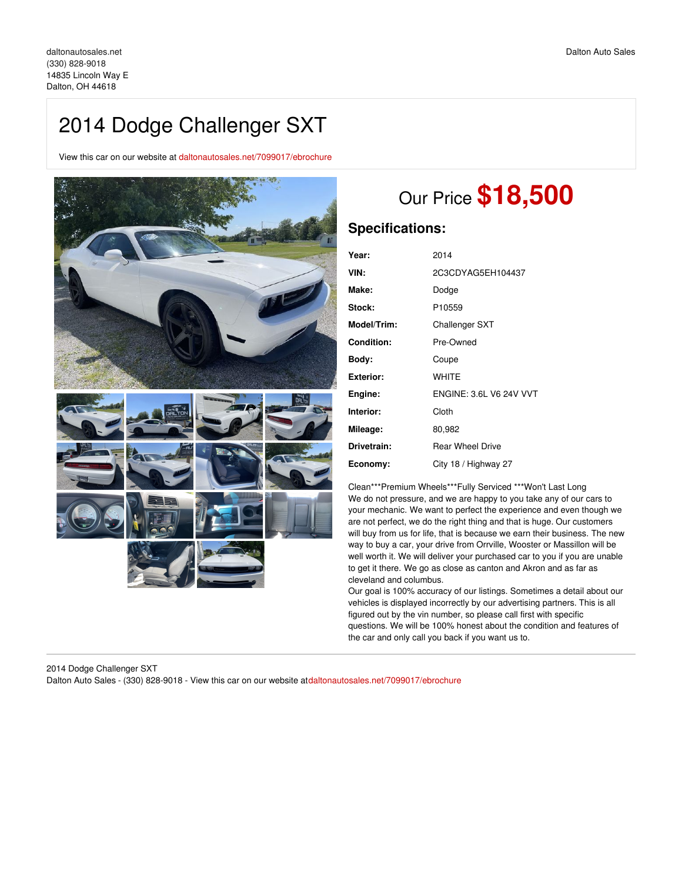# 2014 Dodge Challenger SXT

View this car on our website at [daltonautosales.net/7099017/ebrochure](file:///7099017/ebrochure)



# Our Price **\$18,500**

## **Specifications:**

| 2014                           |
|--------------------------------|
| 2C3CDYAG5EH104437              |
| Dodge                          |
| P10559                         |
| Challenger SXT                 |
| Pre-Owned                      |
| Coupe                          |
| WHITE                          |
| <b>ENGINE: 3.6L V6 24V VVT</b> |
| Cloth                          |
| 80,982                         |
| <b>Rear Wheel Drive</b>        |
| City 18 / Highway 27           |
|                                |

Clean\*\*\*Premium Wheels\*\*\*Fully Serviced \*\*\*Won't Last Long We do not pressure, and we are happy to you take any of our cars to your mechanic. We want to perfect the experience and even though we are not perfect, we do the right thing and that is huge. Our customers will buy from us for life, that is because we earn their business. The new way to buy a car, your drive from Orrville, Wooster or Massillon will be well worth it. We will deliver your purchased car to you if you are unable to get it there. We go as close as canton and Akron and as far as cleveland and columbus.

Our goal is 100% accuracy of our listings. Sometimes a detail about our vehicles is displayed incorrectly by our advertising partners. This is all figured out by the vin number, so please call first with specific questions. We will be 100% honest about the condition and features of the car and only call you back if you want us to.

2014 Dodge Challenger SXT Dalton Auto Sales - (330) 828-9018 - View this car on our website a[tdaltonautosales.net/7099017/ebrochure](file:///7099017/ebrochure)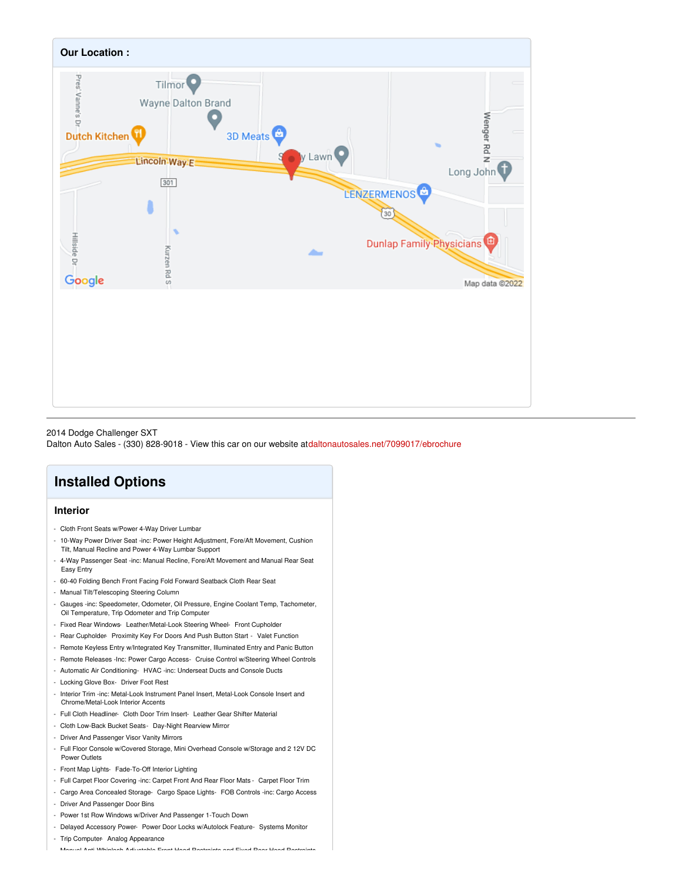

#### 2014 Dodge Challenger SXT

Dalton Auto Sales - (330) 828-9018 - View this car on our website a[tdaltonautosales.net/7099017/ebrochure](file:///7099017/ebrochure)

# **Installed Options**

### **Interior**

- Cloth Front Seats w/Power 4-Way Driver Lumbar
- 10-Way Power Driver Seat -inc: Power Height Adjustment, Fore/Aft Movement, Cushion Tilt, Manual Recline and Power 4-Way Lumbar Support
- 4-Way Passenger Seat -inc: Manual Recline, Fore/Aft Movement and Manual Rear Seat Easy Entry
- 60-40 Folding Bench Front Facing Fold Forward Seatback Cloth Rear Seat
- Manual Tilt/Telescoping Steering Column
- Gauges -inc: Speedometer, Odometer, Oil Pressure, Engine Coolant Temp, Tachometer, Oil Temperature, Trip Odometer and Trip Computer
- Fixed Rear Windows- Leather/Metal-Look Steering Wheel- Front Cupholder
- Rear Cupholder- Proximity Key For Doors And Push Button Start Valet Function
- Remote Keyless Entry w/Integrated Key Transmitter, Illuminated Entry and Panic Button
- Remote Releases -Inc: Power Cargo Access- Cruise Control w/Steering Wheel Controls
- Automatic Air Conditioning- HVAC -inc: Underseat Ducts and Console Ducts
- Locking Glove Box- Driver Foot Rest
- Interior Trim -inc: Metal-Look Instrument Panel Insert, Metal-Look Console Insert and Chrome/Metal-Look Interior Accents
- Full Cloth Headliner- Cloth Door Trim Insert- Leather Gear Shifter Material
- Cloth Low-Back Bucket Seats- Day-Night Rearview Mirror
- Driver And Passenger Visor Vanity Mirrors
- Full Floor Console w/Covered Storage, Mini Overhead Console w/Storage and 2 12V DC Power Outlets
- Front Map Lights- Fade-To-Off Interior Lighting
- Full Carpet Floor Covering -inc: Carpet Front And Rear Floor Mats Carpet Floor Trim
- Cargo Area Concealed Storage- Cargo Space Lights- FOB Controls -inc: Cargo Access
- Driver And Passenger Door Bins
- Power 1st Row Windows w/Driver And Passenger 1-Touch Down
- Delayed Accessory Power- Power Door Locks w/Autolock Feature- Systems Monitor
- Trip Computer- Analog Appearance

- Manual Anti-Whiplash Adjustable Front Head Restraints and Fixed Rear Head Restraints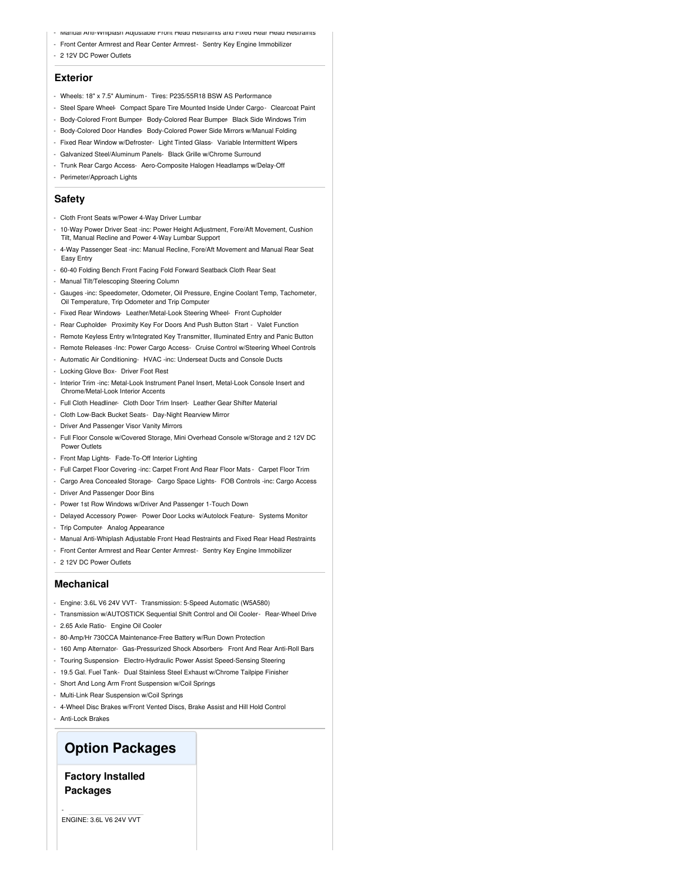- Manual Anti-Whiplash Adjustable Front Head Restraints and Fixed Rear Head Restraints
- Front Center Armrest and Rear Center Armrest- Sentry Key Engine Immobilizer
- 2 12V DC Power Outlets

#### **Exterior**

- Wheels: 18" x 7.5" Aluminum Tires: P235/55R18 BSW AS Performance
- Steel Spare Wheel- Compact Spare Tire Mounted Inside Under Cargo- Clearcoat Paint
- Body-Colored Front Bumper- Body-Colored Rear Bumper- Black Side Windows Trim
- Body-Colored Door Handles- Body-Colored Power Side Mirrors w/Manual Folding
- Fixed Rear Window w/Defroster- Light Tinted Glass- Variable Intermittent Wipers
- Galvanized Steel/Aluminum Panels- Black Grille w/Chrome Surround
- Trunk Rear Cargo Access- Aero-Composite Halogen Headlamps w/Delay-Off
- Perimeter/Approach Lights

#### **Safety**

- Cloth Front Seats w/Power 4-Way Driver Lumbar
- 10-Way Power Driver Seat -inc: Power Height Adjustment, Fore/Aft Movement, Cushion Tilt, Manual Recline and Power 4-Way Lumbar Support
- 4-Way Passenger Seat -inc: Manual Recline, Fore/Aft Movement and Manual Rear Seat Easy Entry
- 60-40 Folding Bench Front Facing Fold Forward Seatback Cloth Rear Seat
- Manual Tilt/Telescoping Steering Column
- Gauges -inc: Speedometer, Odometer, Oil Pressure, Engine Coolant Temp, Tachometer, Oil Temperature, Trip Odometer and Trip Computer
- Fixed Rear Windows- Leather/Metal-Look Steering Wheel- Front Cupholder
- Rear Cupholder- Proximity Key For Doors And Push Button Start Valet Function
- Remote Keyless Entry w/Integrated Key Transmitter, Illuminated Entry and Panic Button
- Remote Releases -Inc: Power Cargo Access- Cruise Control w/Steering Wheel Controls
- Automatic Air Conditioning- HVAC -inc: Underseat Ducts and Console Ducts
- Locking Glove Box- Driver Foot Rest
- Interior Trim -inc: Metal-Look Instrument Panel Insert, Metal-Look Console Insert and Chrome/Metal-Look Interior Accents
- Full Cloth Headliner- Cloth Door Trim Insert- Leather Gear Shifter Material
- Cloth Low-Back Bucket Seats- Day-Night Rearview Mirror
- Driver And Passenger Visor Vanity Mirrors

- Full Floor Console w/Covered Storage, Mini Overhead Console w/Storage and 2 12V DC Power Outlets

- Front Map Lights- Fade-To-Off Interior Lighting
- Full Carpet Floor Covering -inc: Carpet Front And Rear Floor Mats Carpet Floor Trim
- Cargo Area Concealed Storage- Cargo Space Lights- FOB Controls -inc: Cargo Access
- Driver And Passenger Door Bins
- Power 1st Row Windows w/Driver And Passenger 1-Touch Down
- Delayed Accessory Power- Power Door Locks w/Autolock Feature- Systems Monitor
- Trip Computer- Analog Appearance
- Manual Anti-Whiplash Adjustable Front Head Restraints and Fixed Rear Head Restraints
- Front Center Armrest and Rear Center Armrest- Sentry Key Engine Immobilizer
- 2 12V DC Power Outlets

#### **Mechanical**

- Engine: 3.6L V6 24V VVT- Transmission: 5-Speed Automatic (W5A580)
- Transmission w/AUTOSTICK Sequential Shift Control and Oil Cooler- Rear-Wheel Drive
- 2.65 Axle Ratio- Engine Oil Cooler
- 80-Amp/Hr 730CCA Maintenance-Free Battery w/Run Down Protection
- 160 Amp Alternator- Gas-Pressurized Shock Absorbers- Front And Rear Anti-Roll Bars
- Touring Suspension- Electro-Hydraulic Power Assist Speed-Sensing Steering
- 19.5 Gal. Fuel Tank- Dual Stainless Steel Exhaust w/Chrome Tailpipe Finisher
- Short And Long Arm Front Suspension w/Coil Springs
- Multi-Link Rear Suspension w/Coil Springs
- 4-Wheel Disc Brakes w/Front Vented Discs, Brake Assist and Hill Hold Control
- Anti-Lock Brakes

-

## **Option Packages**

### **Factory Installed Packages**

ENGINE: 3.6L V6 24V VVT